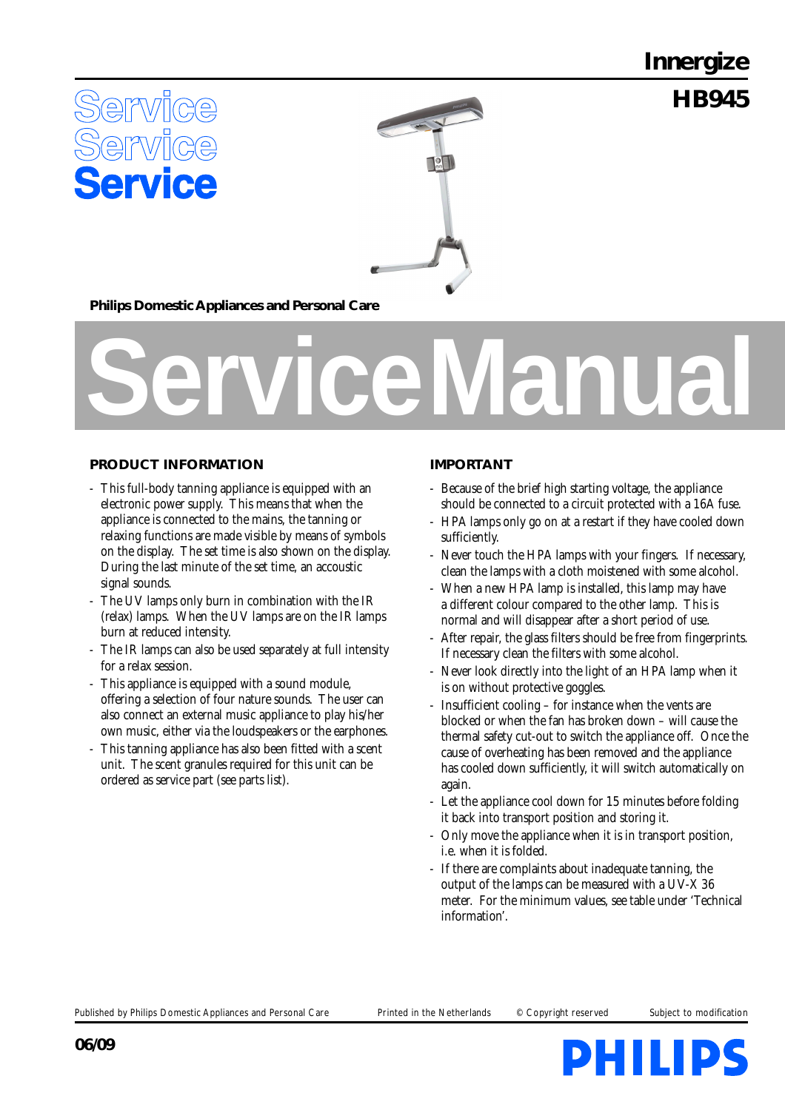**Innergize**

**HB945**





**Philips Domestic Appliances and Personal Care**

# **Service Manual**

# **PRODUCT INFORMATION**

- This full-body tanning appliance is equipped with an electronic power supply. This means that when the appliance is connected to the mains, the tanning or relaxing functions are made visible by means of symbols on the display. The set time is also shown on the display. During the last minute of the set time, an accoustic signal sounds.
- The UV lamps only burn in combination with the IR (relax) lamps. When the UV lamps are on the IR lamps burn at reduced intensity.
- The IR lamps can also be used separately at full intensity for a relax session.
- This appliance is equipped with a sound module, offering a selection of four nature sounds. The user can also connect an external music appliance to play his/her own music, either via the loudspeakers or the earphones.
- This tanning appliance has also been fitted with a scent unit. The scent granules required for this unit can be ordered as service part (see parts list).

### **IMPORTANT**

- Because of the brief high starting voltage, the appliance should be connected to a circuit protected with a 16A fuse.
- HPA lamps only go on at a restart if they have cooled down sufficiently.
- Never touch the HPA lamps with your fingers. If necessary, clean the lamps with a cloth moistened with some alcohol.
- When a new HPA lamp is installed, this lamp may have a different colour compared to the other lamp. This is normal and will disappear after a short period of use.
- After repair, the glass filters should be free from fingerprints. If necessary clean the filters with some alcohol.
- Never look directly into the light of an HPA lamp when it is on without protective goggles.
- Insufficient cooling for instance when the vents are blocked or when the fan has broken down – will cause the thermal safety cut-out to switch the appliance off. Once the cause of overheating has been removed and the appliance has cooled down sufficiently, it will switch automatically on again.
- Let the appliance cool down for 15 minutes before folding it back into transport position and storing it.
- Only move the appliance when it is in transport position, i.e. when it is folded.
- If there are complaints about inadequate tanning, the output of the lamps can be measured with a UV-X 36 meter. For the minimum values, see table under 'Technical information'.

Published by Philips Domestic Appliances and Personal Care Printed in the Netherlands © Copyright reserved Subject to modification

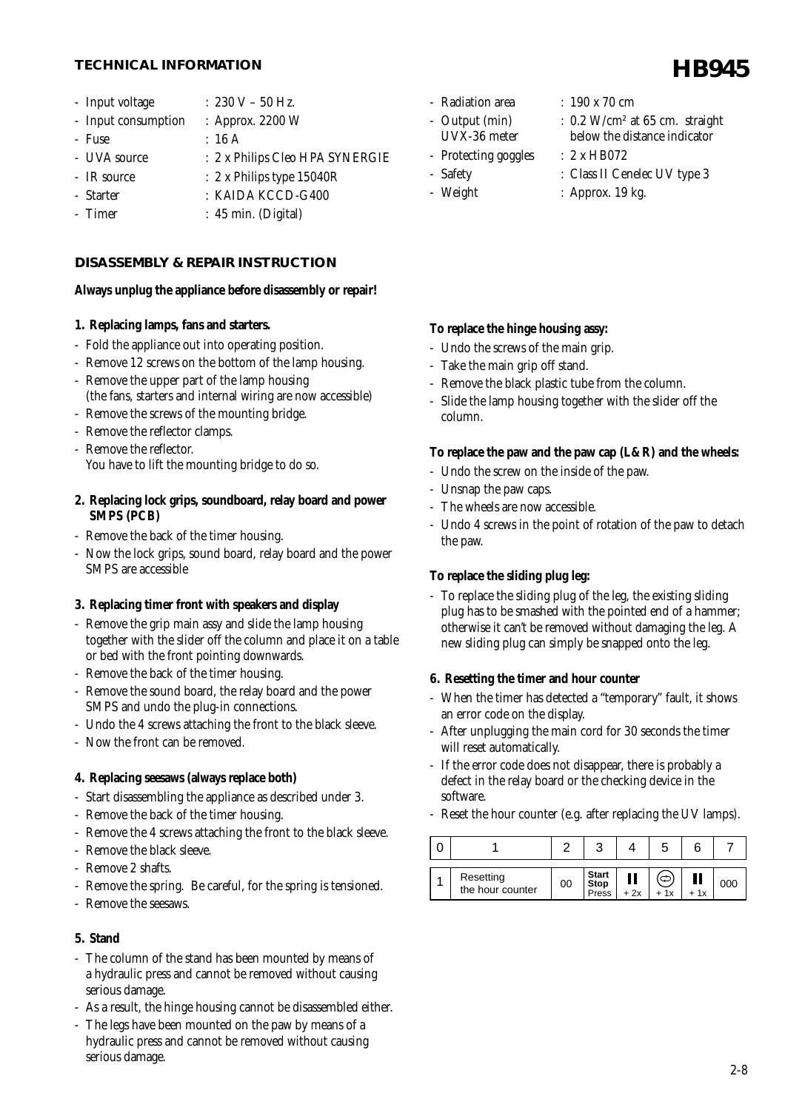# **HB945 TECHNICAL INFORMATION**

- Input voltage :  $230 V 50 Hz$ .
- Input consumption : Approx. 2200 W
- Fuse : 16 A
- UVA source : 2 x Philips Cleo HPA SYNERGIE
- IR source : 2 x Philips type 15040R
- Starter : KAIDA KCCD-G400
- Timer : 45 min. (Digital)

### **DISASSEMBLY & REPAIR INSTRUCTION**

### **Always unplug the appliance before disassembly or repair!**

### **1. Replacing lamps, fans and starters.**

- Fold the appliance out into operating position.
- Remove 12 screws on the bottom of the lamp housing.
- Remove the upper part of the lamp housing (the fans, starters and internal wiring are now accessible)
- Remove the screws of the mounting bridge.
- Remove the reflector clamps.
- Remove the reflector. You have to lift the mounting bridge to do so.
- **2. Replacing lock grips, soundboard, relay board and power SMPS (PCB)**
- Remove the back of the timer housing.
- Now the lock grips, sound board, relay board and the power SMPS are accessible

### **3. Replacing timer front with speakers and display**

- Remove the grip main assy and slide the lamp housing together with the slider off the column and place it on a table or bed with the front pointing downwards.
- Remove the back of the timer housing.
- Remove the sound board, the relay board and the power SMPS and undo the plug-in connections.
- Undo the 4 screws attaching the front to the black sleeve.
- Now the front can be removed.

### **4. Replacing seesaws (always replace both)**

- Start disassembling the appliance as described under 3.
- Remove the back of the timer housing.
- Remove the 4 screws attaching the front to the black sleeve.
- Remove the black sleeve.
- Remove 2 shafts.
- Remove the spring. Be careful, for the spring is tensioned.
- Remove the seesaws.

### **5. Stand**

- The column of the stand has been mounted by means of a hydraulic press and cannot be removed without causing serious damage.
- As a result, the hinge housing cannot be disassembled either.
- The legs have been mounted on the paw by means of a hydraulic press and cannot be removed without causing serious damage.
- Radiation area : 190 x 70 cm
	-
- 
- Protecting goggles : 2 x HB072
- 
- 
- 
- Output (min) :  $0.2$  W/cm<sup>2</sup> at 65 cm. straight UVX-36 meter below the distance indicator
	-
- Safety : Class II Cenelec UV type 3
- Weight : Approx. 19 kg.

# **To replace the hinge housing assy:**

- Undo the screws of the main grip.
- Take the main grip off stand.
- Remove the black plastic tube from the column.
- Slide the lamp housing together with the slider off the column.

### **To replace the paw and the paw cap (L&R) and the wheels:**

- Undo the screw on the inside of the paw.
- Unsnap the paw caps.
- The wheels are now accessible.
- Undo 4 screws in the point of rotation of the paw to detach the paw.

### **To replace the sliding plug leg:**

- To replace the sliding plug of the leg, the existing sliding plug has to be smashed with the pointed end of a hammer; otherwise it can't be removed without damaging the leg. A new sliding plug can simply be snapped onto the leg.

### **6. Resetting the timer and hour counter**

- When the timer has detected a "temporary" fault, it shows an error code on the display.
- After unplugging the main cord for 30 seconds the timer will reset automatically.
- If the error code does not disappear, there is probably a defect in the relay board or the checking device in the software.
- Reset the hour counter (e.g. after replacing the UV lamps).

| Resetting<br>the hour counter | 00 | <b>Start</b><br><b>Stop</b><br>Press | + 2x | + 1x | 1x | 00C |
|-------------------------------|----|--------------------------------------|------|------|----|-----|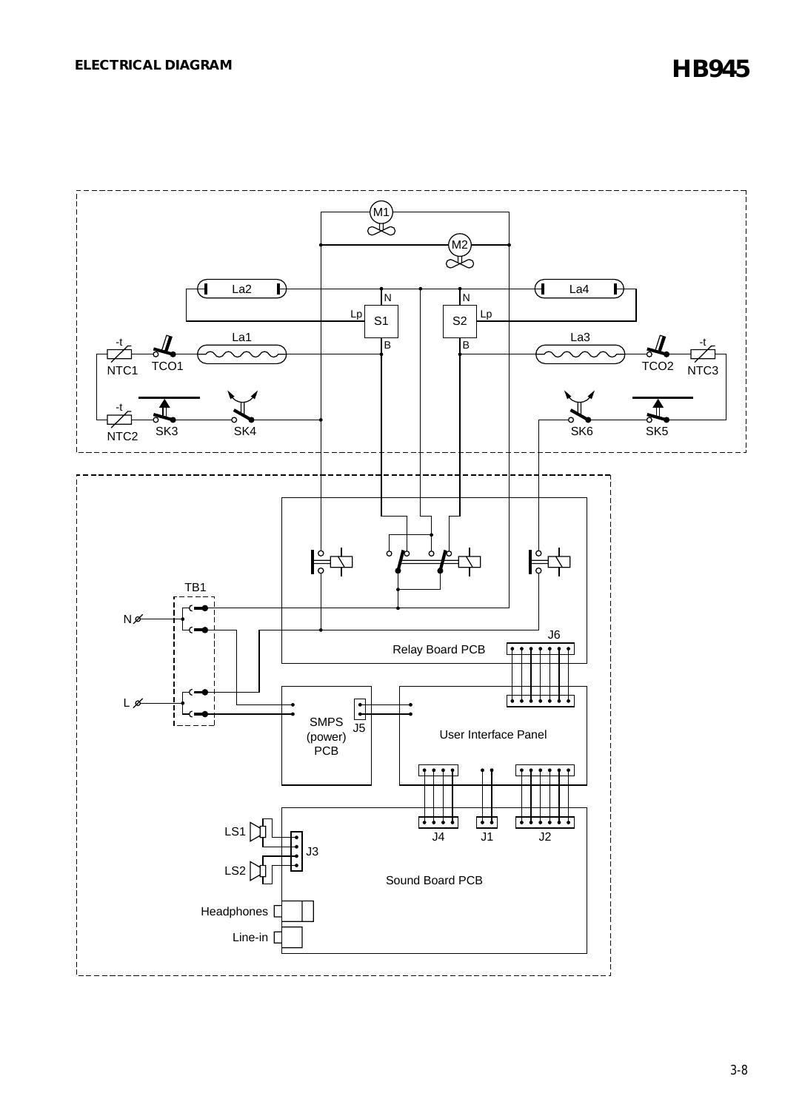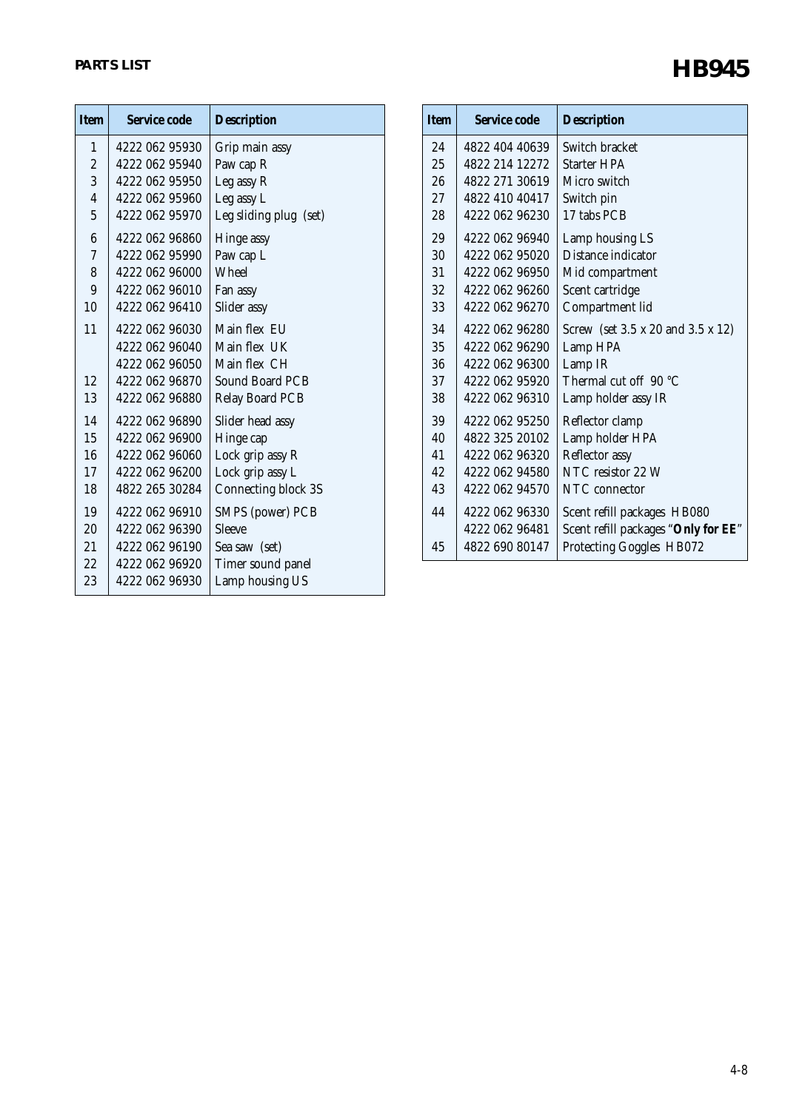| <b>Item</b>    | Service code   | <b>Description</b>     |
|----------------|----------------|------------------------|
| $\mathbf{1}$   | 4222 062 95930 | Grip main assy         |
| $\overline{c}$ | 4222 062 95940 | Paw cap R              |
| 3              | 4222 062 95950 | Leg assy R             |
| $\overline{4}$ | 4222 062 95960 | Leg assy L             |
| 5              | 4222 062 95970 | Leg sliding plug (set) |
| 6              | 4222 062 96860 | Hinge assy             |
| 7              | 4222 062 95990 | Paw cap L              |
| 8              | 4222 062 96000 | <b>Wheel</b>           |
| 9              | 4222 062 96010 | Fan assy               |
| 10             | 4222 062 96410 | Slider assy            |
| 11             | 4222 062 96030 | Main flex EU           |
|                | 4222 062 96040 | Main flex UK           |
|                | 4222 062 96050 | Main flex CH           |
| 12             | 4222 062 96870 | Sound Board PCB        |
| 13             | 4222 062 96880 | <b>Relay Board PCB</b> |
| 14             | 4222 062 96890 | Slider head assy       |
| 15             | 4222 062 96900 | Hinge cap              |
| 16             | 4222 062 96060 | Lock grip assy R       |
| 17             | 4222 062 96200 | Lock grip assy L       |
| 18             | 4822 265 30284 | Connecting block 3S    |
| 19             | 4222 062 96910 | SMPS (power) PCB       |
| 20             | 4222 062 96390 | <b>Sleeve</b>          |
| 21             | 4222 062 96190 | Sea saw (set)          |
| 22             | 4222 062 96920 | Timer sound panel      |
| 23             | 4222 062 96930 | Lamp housing US        |

| <b>Item</b> | Service code   | <b>Description</b>                  |
|-------------|----------------|-------------------------------------|
| 24          | 4822 404 40639 | Switch bracket                      |
| 25          | 4822 214 12272 | Starter HPA                         |
| 26          | 4822 271 30619 | Micro switch                        |
| 27          | 4822 410 40417 | Switch pin                          |
| 28          | 4222 062 96230 | 17 tabs PCB                         |
| 29          | 4222 062 96940 | Lamp housing LS                     |
| 30          | 4222 062 95020 | Distance indicator                  |
| 31          | 4222 062 96950 | Mid compartment                     |
| 32          | 4222 062 96260 | Scent cartridge                     |
| 33          | 4222 062 96270 | Compartment lid                     |
| 34          | 4222 062 96280 | Screw (set 3.5 x 20 and 3.5 x 12)   |
| 35          | 4222 062 96290 | Lamp HPA                            |
| 36          | 4222 062 96300 | Lamp IR                             |
| 37          | 4222 062 95920 | Thermal cut off 90 °C               |
| 38          | 4222 062 96310 | Lamp holder assy IR                 |
| 39          | 4222 062 95250 | Reflector clamp                     |
| 40          | 4822 325 20102 | Lamp holder HPA                     |
| 41          | 4222 062 96320 | Reflector assy                      |
| 42          | 4222 062 94580 | NTC resistor 22 W                   |
| 43          | 4222 062 94570 | NTC connector                       |
| 44          | 4222 062 96330 | Scent refill packages HB080         |
|             | 4222 062 96481 | Scent refill packages "Only for EE" |
| 45          | 4822 690 80147 | Protecting Goggles HB072            |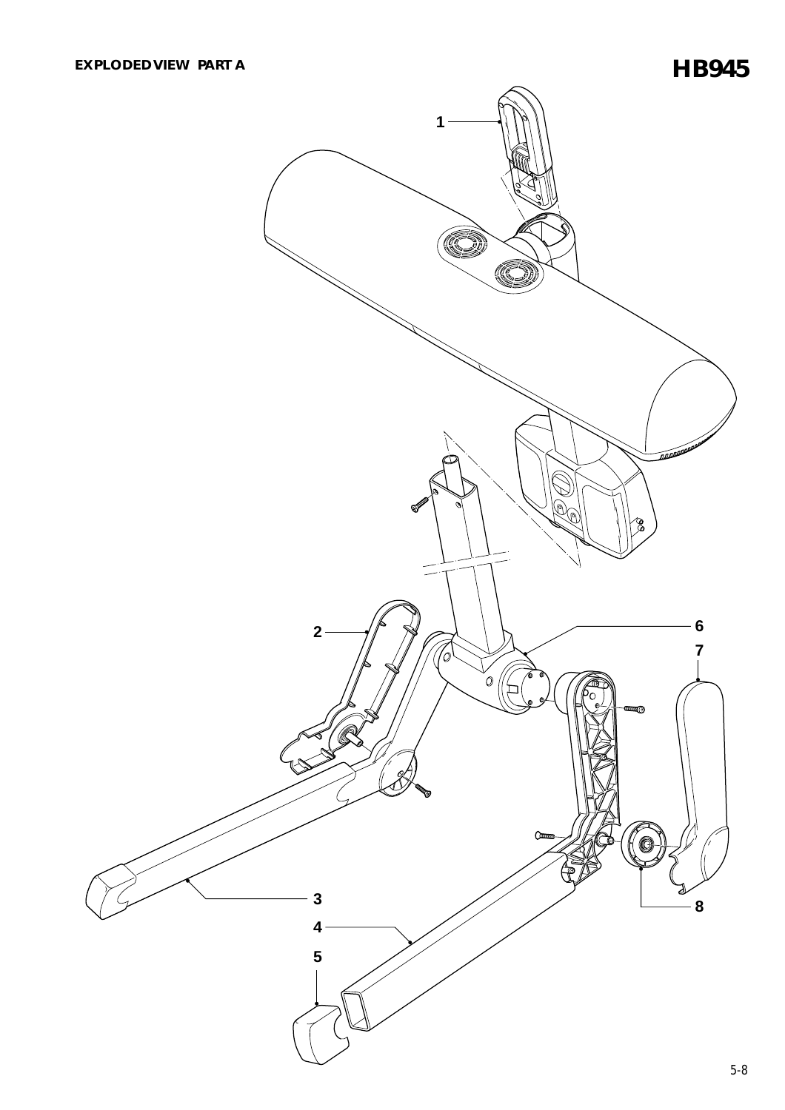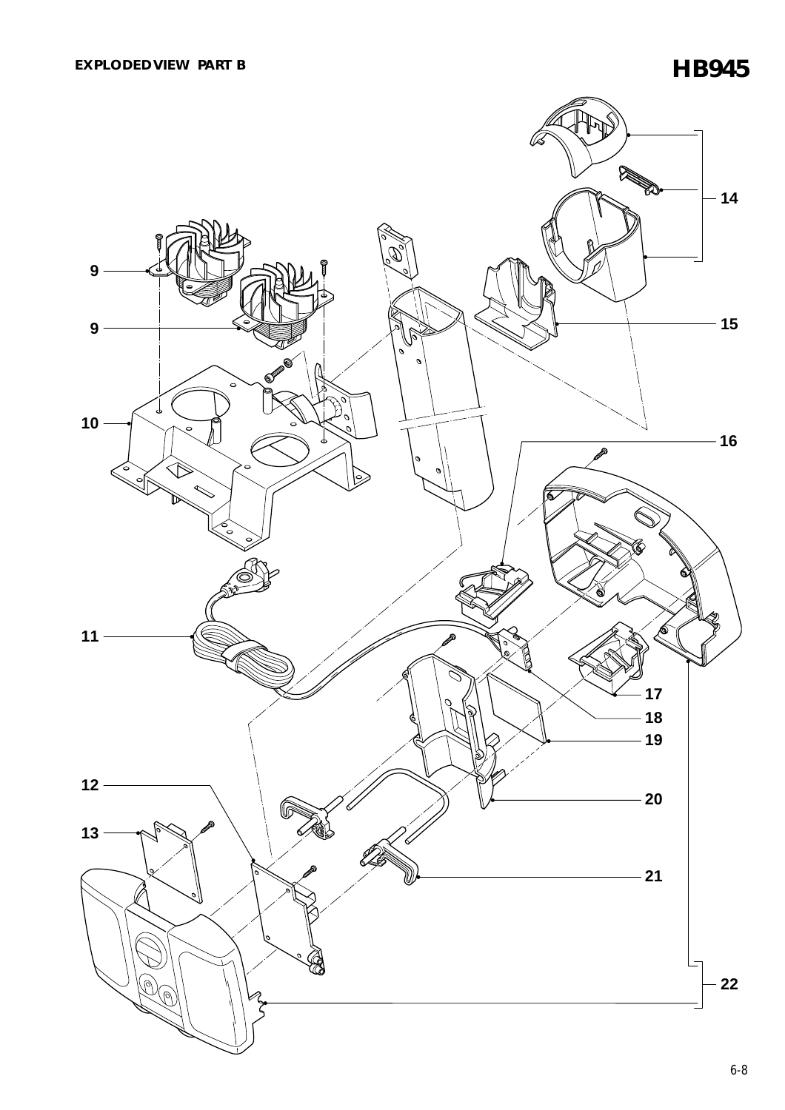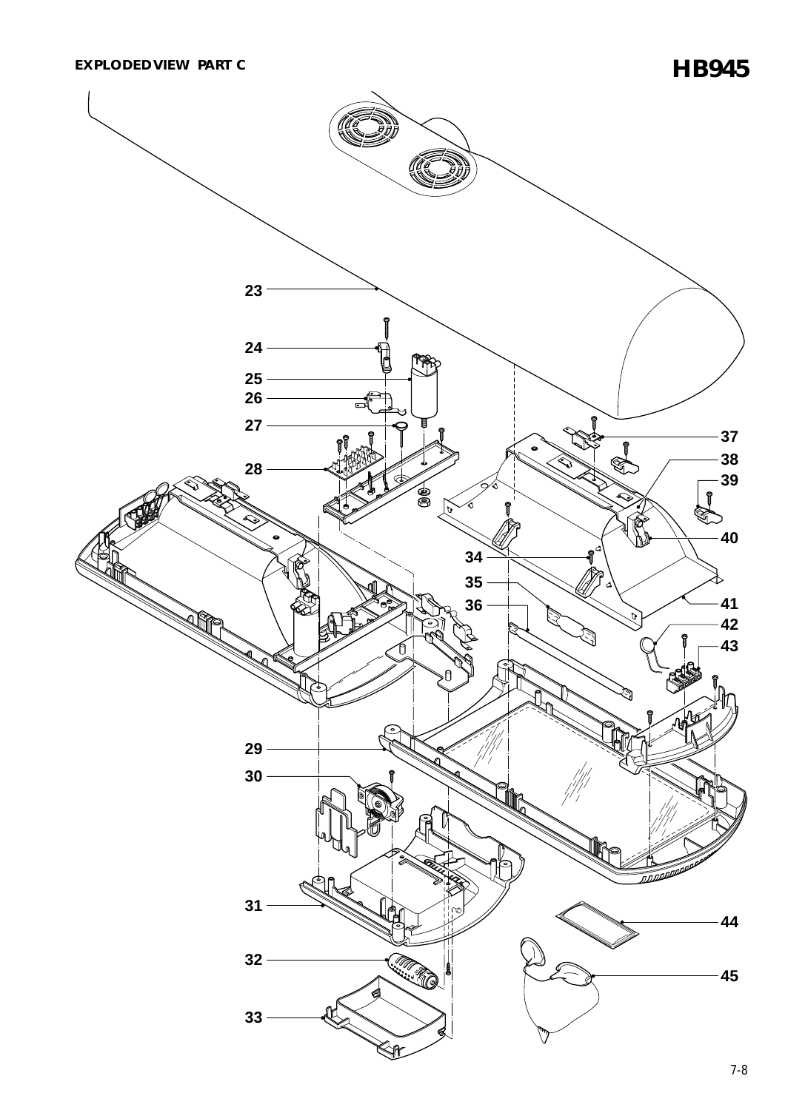